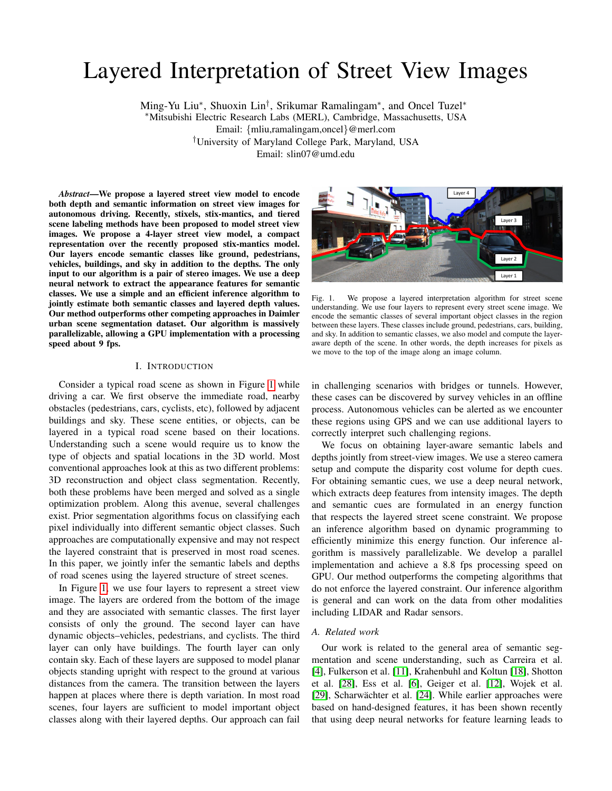# Layered Interpretation of Street View Images

Ming-Yu Liu<sup>\*</sup>, Shuoxin Lin<sup>†</sup>, Srikumar Ramalingam<sup>\*</sup>, and Oncel Tuzel<sup>\*</sup> <sup>∗</sup>Mitsubishi Electric Research Labs (MERL), Cambridge, Massachusetts, USA Email: {mliu,ramalingam,oncel}@merl.com †University of Maryland College Park, Maryland, USA Email: slin07@umd.edu

*Abstract*—We propose a layered street view model to encode both depth and semantic information on street view images for autonomous driving. Recently, stixels, stix-mantics, and tiered scene labeling methods have been proposed to model street view images. We propose a 4-layer street view model, a compact representation over the recently proposed stix-mantics model. Our layers encode semantic classes like ground, pedestrians, vehicles, buildings, and sky in addition to the depths. The only input to our algorithm is a pair of stereo images. We use a deep neural network to extract the appearance features for semantic classes. We use a simple and an efficient inference algorithm to jointly estimate both semantic classes and layered depth values. Our method outperforms other competing approaches in Daimler urban scene segmentation dataset. Our algorithm is massively parallelizable, allowing a GPU implementation with a processing speed about 9 fps.

# I. INTRODUCTION

Consider a typical road scene as shown in Figure [1](#page-0-0) while driving a car. We first observe the immediate road, nearby obstacles (pedestrians, cars, cyclists, etc), followed by adjacent buildings and sky. These scene entities, or objects, can be layered in a typical road scene based on their locations. Understanding such a scene would require us to know the type of objects and spatial locations in the 3D world. Most conventional approaches look at this as two different problems: 3D reconstruction and object class segmentation. Recently, both these problems have been merged and solved as a single optimization problem. Along this avenue, several challenges exist. Prior segmentation algorithms focus on classifying each pixel individually into different semantic object classes. Such approaches are computationally expensive and may not respect the layered constraint that is preserved in most road scenes. In this paper, we jointly infer the semantic labels and depths of road scenes using the layered structure of street scenes.

In Figure [1,](#page-0-0) we use four layers to represent a street view image. The layers are ordered from the bottom of the image and they are associated with semantic classes. The first layer consists of only the ground. The second layer can have dynamic objects–vehicles, pedestrians, and cyclists. The third layer can only have buildings. The fourth layer can only contain sky. Each of these layers are supposed to model planar objects standing upright with respect to the ground at various distances from the camera. The transition between the layers happen at places where there is depth variation. In most road scenes, four layers are sufficient to model important object classes along with their layered depths. Our approach can fail



Fig. 1. We propose a layered interpretation algorithm for street scene understanding. We use four layers to represent every street scene image. We encode the semantic classes of several important object classes in the region between these layers. These classes include ground, pedestrians, cars, building, and sky. In addition to semantic classes, we also model and compute the layeraware depth of the scene. In other words, the depth increases for pixels as we move to the top of the image along an image column.

<span id="page-0-0"></span>in challenging scenarios with bridges or tunnels. However, these cases can be discovered by survey vehicles in an offline process. Autonomous vehicles can be alerted as we encounter these regions using GPS and we can use additional layers to correctly interpret such challenging regions.

We focus on obtaining layer-aware semantic labels and depths jointly from street-view images. We use a stereo camera setup and compute the disparity cost volume for depth cues. For obtaining semantic cues, we use a deep neural network, which extracts deep features from intensity images. The depth and semantic cues are formulated in an energy function that respects the layered street scene constraint. We propose an inference algorithm based on dynamic programming to efficiently minimize this energy function. Our inference algorithm is massively parallelizable. We develop a parallel implementation and achieve a 8.8 fps processing speed on GPU. Our method outperforms the competing algorithms that do not enforce the layered constraint. Our inference algorithm is general and can work on the data from other modalities including LIDAR and Radar sensors.

#### *A. Related work*

Our work is related to the general area of semantic segmentation and scene understanding, such as Carreira et al. [\[4\]](#page-7-0), Fulkerson et al. [\[11\]](#page-7-1), Krahenbuhl and Koltun [\[18\]](#page-8-0), Shotton et al. [\[28\]](#page-8-1), Ess et al. [\[6\]](#page-7-2), Geiger et al. [\[12\]](#page-7-3), Wojek et al. [\[29\]](#page-8-2), Scharwächter et al. [\[24\]](#page-8-3). While earlier approaches were based on hand-designed features, it has been shown recently that using deep neural networks for feature learning leads to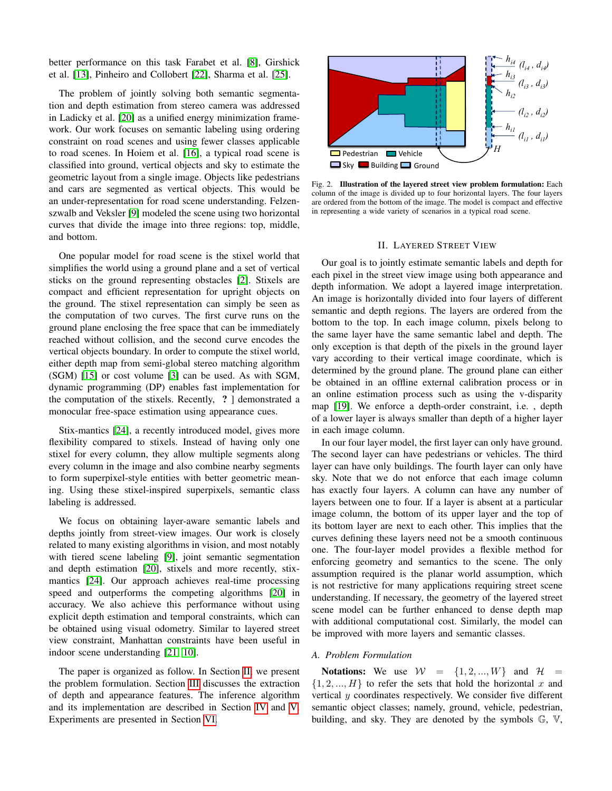better performance on this task Farabet et al. [\[8\]](#page-7-4), Girshick et al. [\[13\]](#page-7-5), Pinheiro and Collobert [\[22\]](#page-8-4), Sharma et al. [\[25\]](#page-8-5).

The problem of jointly solving both semantic segmentation and depth estimation from stereo camera was addressed in Ladicky et al. [\[20\]](#page-8-6) as a unified energy minimization framework. Our work focuses on semantic labeling using ordering constraint on road scenes and using fewer classes applicable to road scenes. In Hoiem et al. [\[16\]](#page-7-6), a typical road scene is classified into ground, vertical objects and sky to estimate the geometric layout from a single image. Objects like pedestrians and cars are segmented as vertical objects. This would be an under-representation for road scene understanding. Felzenszwalb and Veksler [\[9\]](#page-7-7) modeled the scene using two horizontal curves that divide the image into three regions: top, middle, and bottom.

One popular model for road scene is the stixel world that simplifies the world using a ground plane and a set of vertical sticks on the ground representing obstacles [\[2\]](#page-7-8). Stixels are compact and efficient representation for upright objects on the ground. The stixel representation can simply be seen as the computation of two curves. The first curve runs on the ground plane enclosing the free space that can be immediately reached without collision, and the second curve encodes the vertical objects boundary. In order to compute the stixel world, either depth map from semi-global stereo matching algorithm (SGM) [\[15\]](#page-7-9) or cost volume [\[3\]](#page-7-10) can be used. As with SGM, dynamic programming (DP) enables fast implementation for the computation of the stixels. Recently, ? ] demonstrated a monocular free-space estimation using appearance cues.

Stix-mantics [\[24\]](#page-8-3), a recently introduced model, gives more flexibility compared to stixels. Instead of having only one stixel for every column, they allow multiple segments along every column in the image and also combine nearby segments to form superpixel-style entities with better geometric meaning. Using these stixel-inspired superpixels, semantic class labeling is addressed.

We focus on obtaining layer-aware semantic labels and depths jointly from street-view images. Our work is closely related to many existing algorithms in vision, and most notably with tiered scene labeling [\[9\]](#page-7-7), joint semantic segmentation and depth estimation [\[20\]](#page-8-6), stixels and more recently, stixmantics [\[24\]](#page-8-3). Our approach achieves real-time processing speed and outperforms the competing algorithms [\[20\]](#page-8-6) in accuracy. We also achieve this performance without using explicit depth estimation and temporal constraints, which can be obtained using visual odometry. Similar to layered street view constraint, Manhattan constraints have been useful in indoor scene understanding [\[21,](#page-8-7) [10\]](#page-7-11).

The paper is organized as follow. In Section [II,](#page-1-0) we present the problem formulation. Section [III](#page-3-0) discusses the extraction of depth and appearance features. The inference algorithm and its implementation are described in Section [IV](#page-4-0) and [V.](#page-5-0) Experiments are presented in Section [VI.](#page-5-1)



Fig. 2. Illustration of the layered street view problem formulation: Each column of the image is divided up to four horizontal layers. The four layers are ordered from the bottom of the image. The model is compact and effective in representing a wide variety of scenarios in a typical road scene.

### II. LAYERED STREET VIEW

<span id="page-1-0"></span>Our goal is to jointly estimate semantic labels and depth for each pixel in the street view image using both appearance and depth information. We adopt a layered image interpretation. An image is horizontally divided into four layers of different semantic and depth regions. The layers are ordered from the bottom to the top. In each image column, pixels belong to the same layer have the same semantic label and depth. The only exception is that depth of the pixels in the ground layer vary according to their vertical image coordinate, which is determined by the ground plane. The ground plane can either be obtained in an offline external calibration process or in an online estimation process such as using the v-disparity map [\[19\]](#page-8-8). We enforce a depth-order constraint, i.e. , depth of a lower layer is always smaller than depth of a higher layer in each image column.

In our four layer model, the first layer can only have ground. The second layer can have pedestrians or vehicles. The third layer can have only buildings. The fourth layer can only have sky. Note that we do not enforce that each image column has exactly four layers. A column can have any number of layers between one to four. If a layer is absent at a particular image column, the bottom of its upper layer and the top of its bottom layer are next to each other. This implies that the curves defining these layers need not be a smooth continuous one. The four-layer model provides a flexible method for enforcing geometry and semantics to the scene. The only assumption required is the planar world assumption, which is not restrictive for many applications requiring street scene understanding. If necessary, the geometry of the layered street scene model can be further enhanced to dense depth map with additional computational cost. Similarly, the model can be improved with more layers and semantic classes.

#### *A. Problem Formulation*

Notations: We use  $W = \{1, 2, ..., W\}$  and  $\mathcal{H} =$  $\{1, 2, ..., H\}$  to refer the sets that hold the horizontal x and vertical y coordinates respectively. We consider five different semantic object classes; namely, ground, vehicle, pedestrian, building, and sky. They are denoted by the symbols G, V,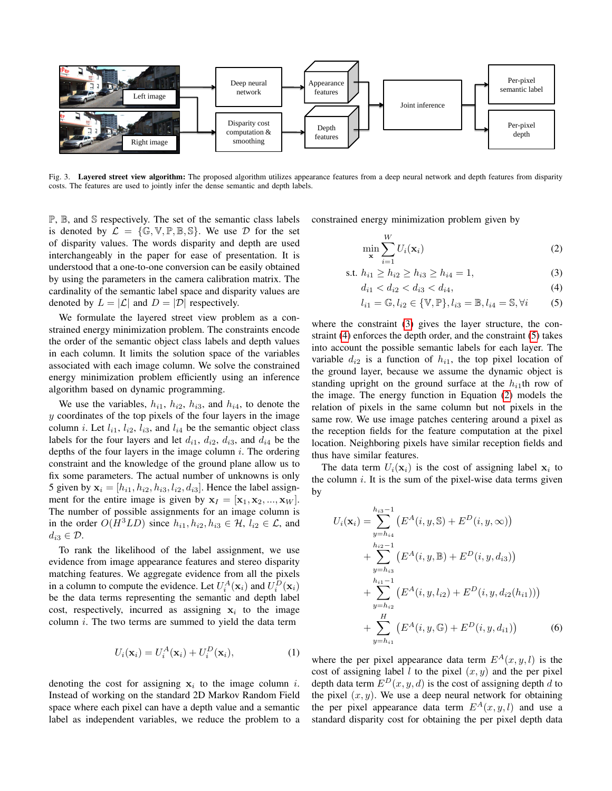

<span id="page-2-4"></span>Fig. 3. Layered street view algorithm: The proposed algorithm utilizes appearance features from a deep neural network and depth features from disparity costs. The features are used to jointly infer the dense semantic and depth labels.

P, B, and S respectively. The set of the semantic class labels is denoted by  $\mathcal{L} = \{\mathbb{G}, \mathbb{V}, \mathbb{P}, \mathbb{B}, \mathbb{S}\}.$  We use  $\mathcal{D}$  for the set of disparity values. The words disparity and depth are used interchangeably in the paper for ease of presentation. It is understood that a one-to-one conversion can be easily obtained by using the parameters in the camera calibration matrix. The cardinality of the semantic label space and disparity values are denoted by  $L = |\mathcal{L}|$  and  $D = |\mathcal{D}|$  respectively.

We formulate the layered street view problem as a constrained energy minimization problem. The constraints encode the order of the semantic object class labels and depth values in each column. It limits the solution space of the variables associated with each image column. We solve the constrained energy minimization problem efficiently using an inference algorithm based on dynamic programming.

We use the variables,  $h_{i1}$ ,  $h_{i2}$ ,  $h_{i3}$ , and  $h_{i4}$ , to denote the  $y$  coordinates of the top pixels of the four layers in the image column *i*. Let  $l_{i1}$ ,  $l_{i2}$ ,  $l_{i3}$ , and  $l_{i4}$  be the semantic object class labels for the four layers and let  $d_{i1}$ ,  $d_{i2}$ ,  $d_{i3}$ , and  $d_{i4}$  be the depths of the four layers in the image column  $i$ . The ordering constraint and the knowledge of the ground plane allow us to fix some parameters. The actual number of unknowns is only 5 given by  $\mathbf{x}_i = [h_{i1}, h_{i2}, h_{i3}, l_{i2}, d_{i3}]$ . Hence the label assignment for the entire image is given by  $x_I = [\mathbf{x}_1, \mathbf{x}_2, ..., \mathbf{x}_W].$ The number of possible assignments for an image column is in the order  $O(H^3LD)$  since  $h_{i1}, h_{i2}, h_{i3} \in \mathcal{H}, l_{i2} \in \mathcal{L}$ , and  $d_{i3} \in \mathcal{D}$ .

To rank the likelihood of the label assignment, we use evidence from image appearance features and stereo disparity matching features. We aggregate evidence from all the pixels in a column to compute the evidence. Let  $U_i^A(\mathbf{x}_i)$  and  $U_i^D(\mathbf{x}_i)$ be the data terms representing the semantic and depth label cost, respectively, incurred as assigning  $x_i$  to the image column  $i$ . The two terms are summed to yield the data term

$$
U_i(\mathbf{x}_i) = U_i^A(\mathbf{x}_i) + U_i^D(\mathbf{x}_i),
$$
\n(1)

denoting the cost for assigning  $x_i$  to the image column i. Instead of working on the standard 2D Markov Random Field space where each pixel can have a depth value and a semantic label as independent variables, we reduce the problem to a constrained energy minimization problem given by

<span id="page-2-3"></span><span id="page-2-0"></span>
$$
\min_{\mathbf{x}} \sum_{i=1}^{W} U_i(\mathbf{x}_i)
$$
 (2)

s.t. 
$$
h_{i1} \ge h_{i2} \ge h_{i3} \ge h_{i4} = 1,
$$
 (3)

<span id="page-2-1"></span>
$$
d_{i1} < d_{i2} < d_{i3} < d_{i4},\tag{4}
$$

<span id="page-2-2"></span>
$$
l_{i1} = \mathbb{G}, l_{i2} \in \{ \mathbb{V}, \mathbb{P} \}, l_{i3} = \mathbb{B}, l_{i4} = \mathbb{S}, \forall i \tag{5}
$$

where the constraint [\(3\)](#page-2-0) gives the layer structure, the constraint [\(4\)](#page-2-1) enforces the depth order, and the constraint [\(5\)](#page-2-2) takes into account the possible semantic labels for each layer. The variable  $d_{i2}$  is a function of  $h_{i1}$ , the top pixel location of the ground layer, because we assume the dynamic object is standing upright on the ground surface at the  $h_{i1}$ th row of the image. The energy function in Equation [\(2\)](#page-2-3) models the relation of pixels in the same column but not pixels in the same row. We use image patches centering around a pixel as the reception fields for the feature computation at the pixel location. Neighboring pixels have similar reception fields and thus have similar features.

The data term  $U_i(\mathbf{x}_i)$  is the cost of assigning label  $\mathbf{x}_i$  to the column  $i$ . It is the sum of the pixel-wise data terms given by

$$
U_i(\mathbf{x}_i) = \sum_{y=h_{i4}}^{h_{i3}-1} \left( E^A(i, y, \mathbb{S}) + E^D(i, y, \infty) \right)
$$
  
+ 
$$
\sum_{y=h_{i3}}^{h_{i2}-1} \left( E^A(i, y, \mathbb{B}) + E^D(i, y, d_{i3}) \right)
$$
  
+ 
$$
\sum_{y=h_{i2}}^{h_{i1}-1} \left( E^A(i, y, l_{i2}) + E^D(i, y, d_{i2}(h_{i1})) \right)
$$
  
+ 
$$
\sum_{y=h_{i1}}^H \left( E^A(i, y, \mathbb{G}) + E^D(i, y, d_{i1}) \right)
$$
 (6)

where the per pixel appearance data term  $E^{A}(x, y, l)$  is the cost of assigning label l to the pixel  $(x, y)$  and the per pixel depth data term  $E^{D}(x, y, d)$  is the cost of assigning depth d to the pixel  $(x, y)$ . We use a deep neural network for obtaining the per pixel appearance data term  $E^{A}(x, y, l)$  and use a standard disparity cost for obtaining the per pixel depth data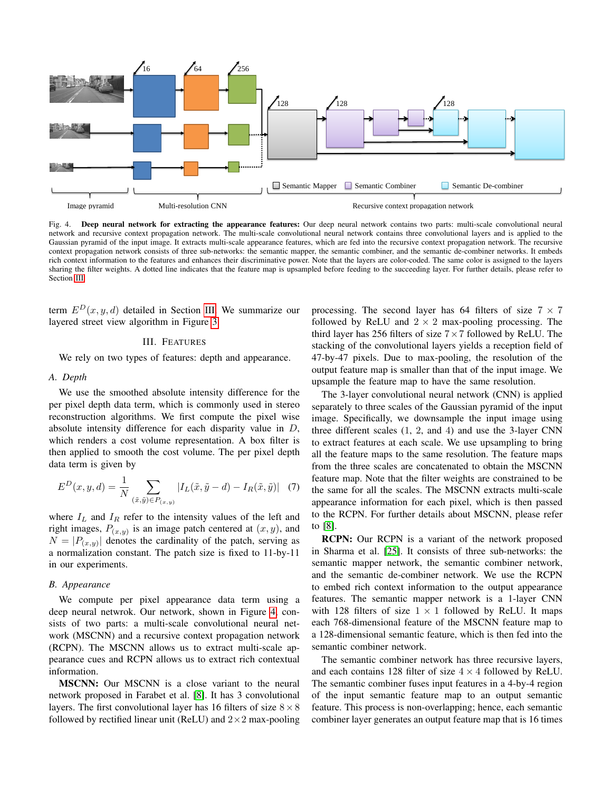

<span id="page-3-1"></span>Fig. 4. Deep neural network for extracting the appearance features: Our deep neural network contains two parts: multi-scale convolutional neural network and recursive context propagation network. The multi-scale convolutional neural network contains three convolutional layers and is applied to the Gaussian pyramid of the input image. It extracts multi-scale appearance features, which are fed into the recursive context propagation network. The recursive context propagation network consists of three sub-networks: the semantic mapper, the semantic combiner, and the semantic de-combiner networks. It embeds rich context information to the features and enhances their discriminative power. Note that the layers are color-coded. The same color is assigned to the layers sharing the filter weights. A dotted line indicates that the feature map is upsampled before feeding to the succeeding layer. For further details, please refer to Section [III.](#page-3-0)

term  $E^{D}(x, y, d)$  detailed in Section [III.](#page-3-0) We summarize our layered street view algorithm in Figure [3.](#page-2-4)

## III. FEATURES

<span id="page-3-0"></span>We rely on two types of features: depth and appearance.

# *A. Depth*

We use the smoothed absolute intensity difference for the per pixel depth data term, which is commonly used in stereo reconstruction algorithms. We first compute the pixel wise absolute intensity difference for each disparity value in D, which renders a cost volume representation. A box filter is then applied to smooth the cost volume. The per pixel depth data term is given by

$$
E^{D}(x, y, d) = \frac{1}{N} \sum_{(\tilde{x}, \tilde{y}) \in P(x, y)} |I_{L}(\tilde{x}, \tilde{y} - d) - I_{R}(\tilde{x}, \tilde{y})| \quad (7)
$$

where  $I_L$  and  $I_R$  refer to the intensity values of the left and right images,  $P_{(x,y)}$  is an image patch centered at  $(x, y)$ , and  $N = |P_{(x,y)}|$  denotes the cardinality of the patch, serving as a normalization constant. The patch size is fixed to 11-by-11 in our experiments.

## *B. Appearance*

We compute per pixel appearance data term using a deep neural netwrok. Our network, shown in Figure [4,](#page-3-1) consists of two parts: a multi-scale convolutional neural network (MSCNN) and a recursive context propagation network (RCPN). The MSCNN allows us to extract multi-scale appearance cues and RCPN allows us to extract rich contextual information.

MSCNN: Our MSCNN is a close variant to the neural network proposed in Farabet et al. [\[8\]](#page-7-4). It has 3 convolutional layers. The first convolutional layer has 16 filters of size  $8 \times 8$ followed by rectified linear unit (ReLU) and  $2 \times 2$  max-pooling processing. The second layer has 64 filters of size  $7 \times 7$ followed by ReLU and  $2 \times 2$  max-pooling processing. The third layer has 256 filters of size  $7 \times 7$  followed by ReLU. The stacking of the convolutional layers yields a reception field of 47-by-47 pixels. Due to max-pooling, the resolution of the output feature map is smaller than that of the input image. We upsample the feature map to have the same resolution.

The 3-layer convolutional neural network (CNN) is applied separately to three scales of the Gaussian pyramid of the input image. Specifically, we downsample the input image using three different scales (1, 2, and 4) and use the 3-layer CNN to extract features at each scale. We use upsampling to bring all the feature maps to the same resolution. The feature maps from the three scales are concatenated to obtain the MSCNN feature map. Note that the filter weights are constrained to be the same for all the scales. The MSCNN extracts multi-scale appearance information for each pixel, which is then passed to the RCPN. For further details about MSCNN, please refer to [\[8\]](#page-7-4).

RCPN: Our RCPN is a variant of the network proposed in Sharma et al. [\[25\]](#page-8-5). It consists of three sub-networks: the semantic mapper network, the semantic combiner network, and the semantic de-combiner network. We use the RCPN to embed rich context information to the output appearance features. The semantic mapper network is a 1-layer CNN with 128 filters of size  $1 \times 1$  followed by ReLU. It maps each 768-dimensional feature of the MSCNN feature map to a 128-dimensional semantic feature, which is then fed into the semantic combiner network.

The semantic combiner network has three recursive layers, and each contains 128 filter of size  $4 \times 4$  followed by ReLU. The semantic combiner fuses input features in a 4-by-4 region of the input semantic feature map to an output semantic feature. This process is non-overlapping; hence, each semantic combiner layer generates an output feature map that is 16 times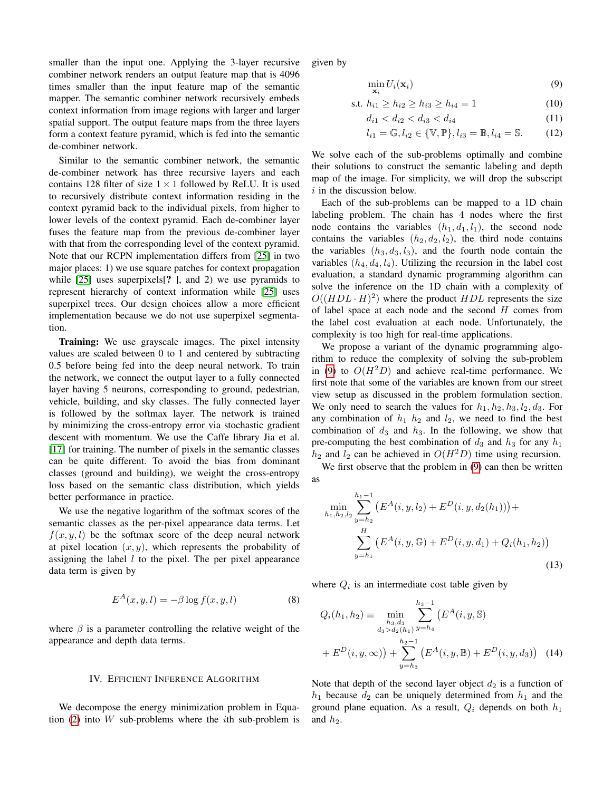smaller than the input one. Applying the 3-layer recursive combiner network renders an output feature map that is 4096 times smaller than the input feature map of the semantic mapper. The semantic combiner network recursively embeds context information from image regions with larger and larger spatial support. The output feature maps from the three layers form a context feature pyramid, which is fed into the semantic de-combiner network.

Similar to the semantic combiner network, the semantic de-combiner network has three recursive layers and each contains 128 filter of size  $1 \times 1$  followed by ReLU. It is used to recursively distribute context information residing in the context pyramid back to the individual pixels, from higher to lower levels of the context pyramid. Each de-combiner layer fuses the feature map from the previous de-combiner layer with that from the corresponding level of the context pyramid. Note that our RCPN implementation differs from [\[25\]](#page-8-5) in two major places: 1) we use square patches for context propagation while [\[25\]](#page-8-5) uses superpixels[? ], and 2) we use pyramids to represent hierarchy of context information while [\[25\]](#page-8-5) uses superpixel trees. Our design choices allow a more efficient implementation because we do not use superpixel segmentation.

**Training:** We use grayscale images. The pixel intensity values are scaled between 0 to 1 and centered by subtracting 0.5 before being fed into the deep neural network. To train the network, we connect the output layer to a fully connected layer having 5 neurons, corresponding to ground, pedestrian, vehicle, building, and sky classes. The fully connected layer is followed by the softmax layer. The network is trained by minimizing the cross-entropy error via stochastic gradient descent with momentum. We use the Caffe library Jia et al. [\[17\]](#page-7-12) for training. The number of pixels in the semantic classes can be quite different. To avoid the bias from dominant classes (ground and building), we weight the cross-entropy loss based on the semantic class distribution, which yields better performance in practice.

We use the negative logarithm of the softmax scores of the semantic classes as the per-pixel appearance data terms. Let  $f(x, y, l)$  be the softmax score of the deep neural network at pixel location  $(x, y)$ , which represents the probability of assigning the label  $l$  to the pixel. The per pixel appearance data term is given by

$$
E^{A}(x, y, l) = -\beta \log f(x, y, l)
$$
\n(8)

where  $\beta$  is a parameter controlling the relative weight of the appearance and depth data terms.

#### IV. EFFICIENT INFERENCE ALGORITHM

<span id="page-4-0"></span>We decompose the energy minimization problem in Equa-tion [\(2\)](#page-2-3) into  $W$  sub-problems where the *i*th sub-problem is given by

<span id="page-4-1"></span>
$$
\min_{\mathbf{x}_i} U_i(\mathbf{x}_i) \tag{9}
$$

s.t. 
$$
h_{i1} \ge h_{i2} \ge h_{i3} \ge h_{i4} = 1
$$
 (10)

$$
d_{i1} < d_{i2} < d_{i3} < d_{i4} \tag{11}
$$

$$
l_{i1} = \mathbb{G}, l_{i2} \in \{\mathbb{V}, \mathbb{P}\}, l_{i3} = \mathbb{B}, l_{i4} = \mathbb{S}.
$$
 (12)

We solve each of the sub-problems optimally and combine their solutions to construct the semantic labeling and depth map of the image. For simplicity, we will drop the subscript  $i$  in the discussion below.

Each of the sub-problems can be mapped to a 1D chain labeling problem. The chain has 4 nodes where the first node contains the variables  $(h_1, d_1, l_1)$ , the second node contains the variables  $(h_2, d_2, l_2)$ , the third node contains the variables  $(h_3, d_3, l_3)$ , and the fourth node contain the variables  $(h_4, d_4, l_4)$ . Utilizing the recursion in the label cost evaluation, a standard dynamic programming algorithm can solve the inference on the 1D chain with a complexity of  $O((HDL \cdot H)^2)$  where the product  $HDL$  represents the size of label space at each node and the second  $H$  comes from the label cost evaluation at each node. Unfortunately, the complexity is too high for real-time applications.

We propose a variant of the dynamic programming algorithm to reduce the complexity of solving the sub-problem in [\(9\)](#page-4-1) to  $O(H<sup>2</sup>D)$  and achieve real-time performance. We first note that some of the variables are known from our street view setup as discussed in the problem formulation section. We only need to search the values for  $h_1$ ,  $h_2$ ,  $h_3$ ,  $l_2$ ,  $d_3$ . For any combination of  $h_1$   $h_2$  and  $l_2$ , we need to find the best combination of  $d_3$  and  $h_3$ . In the following, we show that pre-computing the best combination of  $d_3$  and  $h_3$  for any  $h_1$  $h_2$  and  $l_2$  can be achieved in  $O(H^2D)$  time using recursion.

We first observe that the problem in  $(9)$  can then be written as

$$
\min_{h_1, h_2, l_2} \sum_{y=h_2}^{h_1-1} \left( E^A(i, y, l_2) + E^D(i, y, d_2(h_1)) \right) +
$$
  

$$
\sum_{y=h_1}^H \left( E^A(i, y, \mathbb{G}) + E^D(i, y, d_1) + Q_i(h_1, h_2) \right)
$$
(13)

where  $Q_i$  is an intermediate cost table given by

$$
Q_i(h_1, h_2) \equiv \min_{\substack{h_3, d_3 \\ d_3 > d_2(h_1)}} \sum_{y=h_4}^{h_3 - 1} \left( E^A(i, y, \mathbb{S}) \right)
$$
  
+ 
$$
E^D(i, y, \infty) + \sum_{y=h_3}^{h_2 - 1} \left( E^A(i, y, \mathbb{B}) + E^D(i, y, d_3) \right)
$$
 (14)

Note that depth of the second layer object  $d_2$  is a function of  $h_1$  because  $d_2$  can be uniquely determined from  $h_1$  and the ground plane equation. As a result,  $Q_i$  depends on both  $h_1$ and  $h_2$ .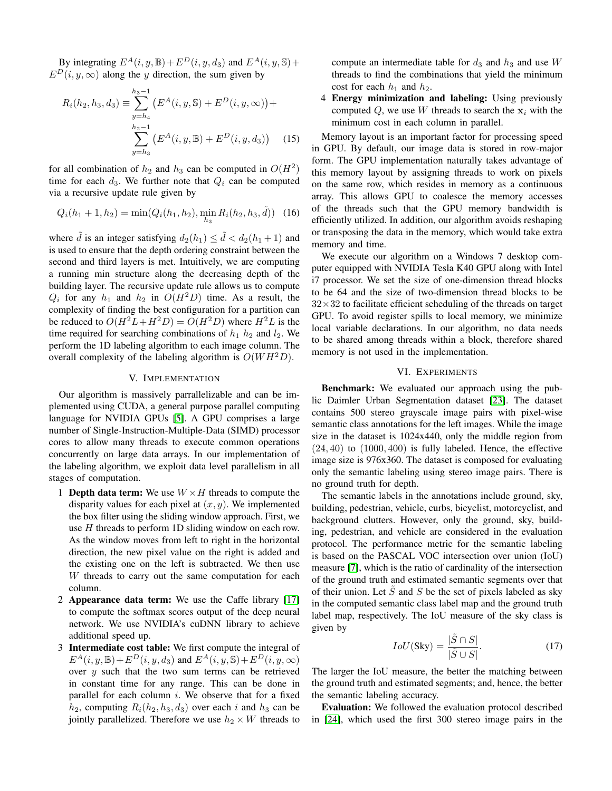By integrating  $E^A(i, y, \mathbb{B}) + E^D(i, y, d_3)$  and  $E^A(i, y, \mathbb{S}) +$  $E^D(i, y, \infty)$  along the y direction, the sum given by

$$
R_i(h_2, h_3, d_3) \equiv \sum_{y=h_4}^{h_3-1} \left( E^A(i, y, \mathbb{S}) + E^D(i, y, \infty) \right) +
$$
  

$$
\sum_{y=h_3}^{h_2-1} \left( E^A(i, y, \mathbb{B}) + E^D(i, y, d_3) \right)
$$
 (15)

for all combination of  $h_2$  and  $h_3$  can be computed in  $O(H^2)$ time for each  $d_3$ . We further note that  $Q_i$  can be computed via a recursive update rule given by

$$
Q_i(h_1 + 1, h_2) = \min(Q_i(h_1, h_2), \min_{h_3} R_i(h_2, h_3, \tilde{d}))
$$
 (16)

where  $\tilde{d}$  is an integer satisfying  $d_2(h_1) \leq \tilde{d} < d_2(h_1 + 1)$  and is used to ensure that the depth ordering constraint between the second and third layers is met. Intuitively, we are computing a running min structure along the decreasing depth of the building layer. The recursive update rule allows us to compute  $Q_i$  for any  $h_1$  and  $h_2$  in  $O(H^2D)$  time. As a result, the complexity of finding the best configuration for a partition can be reduced to  $O(H^2L+H^2D) = O(H^2D)$  where  $H^2L$  is the time required for searching combinations of  $h_1$   $h_2$  and  $l_2$ . We perform the 1D labeling algorithm to each image column. The overall complexity of the labeling algorithm is  $O(WH^2D)$ .

# V. IMPLEMENTATION

<span id="page-5-0"></span>Our algorithm is massively parrallelizable and can be implemented using CUDA, a general purpose parallel computing language for NVIDIA GPUs [\[5\]](#page-7-13). A GPU comprises a large number of Single-Instruction-Multiple-Data (SIMD) processor cores to allow many threads to execute common operations concurrently on large data arrays. In our implementation of the labeling algorithm, we exploit data level parallelism in all stages of computation.

- 1 **Depth data term:** We use  $W \times H$  threads to compute the disparity values for each pixel at  $(x, y)$ . We implemented the box filter using the sliding window approach. First, we use H threads to perform 1D sliding window on each row. As the window moves from left to right in the horizontal direction, the new pixel value on the right is added and the existing one on the left is subtracted. We then use W threads to carry out the same computation for each column.
- 2 Appearance data term: We use the Caffe library [\[17\]](#page-7-12) to compute the softmax scores output of the deep neural network. We use NVIDIA's cuDNN library to achieve additional speed up.
- 3 Intermediate cost table: We first compute the integral of  $E^A(i, y, \mathbb{B})+E^D(i, y, d_3)$  and  $E^A(i, y, \mathbb{S})+E^D(i, y, \infty)$ over  $y$  such that the two sum terms can be retrieved in constant time for any range. This can be done in parallel for each column  $i$ . We observe that for a fixed  $h_2$ , computing  $R_i(h_2, h_3, d_3)$  over each i and  $h_3$  can be jointly parallelized. Therefore we use  $h_2 \times W$  threads to

compute an intermediate table for  $d_3$  and  $h_3$  and use W threads to find the combinations that yield the minimum cost for each  $h_1$  and  $h_2$ .

4 Energy minimization and labeling: Using previously computed Q, we use W threads to search the  $x_i$  with the minimum cost in each column in parallel.

Memory layout is an important factor for processing speed in GPU. By default, our image data is stored in row-major form. The GPU implementation naturally takes advantage of this memory layout by assigning threads to work on pixels on the same row, which resides in memory as a continuous array. This allows GPU to coalesce the memory accesses of the threads such that the GPU memory bandwidth is efficiently utilized. In addition, our algorithm avoids reshaping or transposing the data in the memory, which would take extra memory and time.

We execute our algorithm on a Windows 7 desktop computer equipped with NVIDIA Tesla K40 GPU along with Intel i7 processor. We set the size of one-dimension thread blocks to be 64 and the size of two-dimension thread blocks to be  $32\times32$  to facilitate efficient scheduling of the threads on target GPU. To avoid register spills to local memory, we minimize local variable declarations. In our algorithm, no data needs to be shared among threads within a block, therefore shared memory is not used in the implementation.

## VI. EXPERIMENTS

<span id="page-5-1"></span>Benchmark: We evaluated our approach using the public Daimler Urban Segmentation dataset [\[23\]](#page-8-9). The dataset contains 500 stereo grayscale image pairs with pixel-wise semantic class annotations for the left images. While the image size in the dataset is 1024x440, only the middle region from  $(24, 40)$  to  $(1000, 400)$  is fully labeled. Hence, the effective image size is 976x360. The dataset is composed for evaluating only the semantic labeling using stereo image pairs. There is no ground truth for depth.

The semantic labels in the annotations include ground, sky, building, pedestrian, vehicle, curbs, bicyclist, motorcyclist, and background clutters. However, only the ground, sky, building, pedestrian, and vehicle are considered in the evaluation protocol. The performance metric for the semantic labeling is based on the PASCAL VOC intersection over union (IoU) measure [\[7\]](#page-7-14), which is the ratio of cardinality of the intersection of the ground truth and estimated semantic segments over that of their union. Let  $\ddot{S}$  and  $S$  be the set of pixels labeled as sky in the computed semantic class label map and the ground truth label map, respectively. The IoU measure of the sky class is given by

$$
IoU(Sky) = \frac{|\tilde{S} \cap S|}{|\tilde{S} \cup S|}.
$$
 (17)

The larger the IoU measure, the better the matching between the ground truth and estimated segments; and, hence, the better the semantic labeling accuracy.

Evaluation: We followed the evaluation protocol described in [\[24\]](#page-8-3), which used the first 300 stereo image pairs in the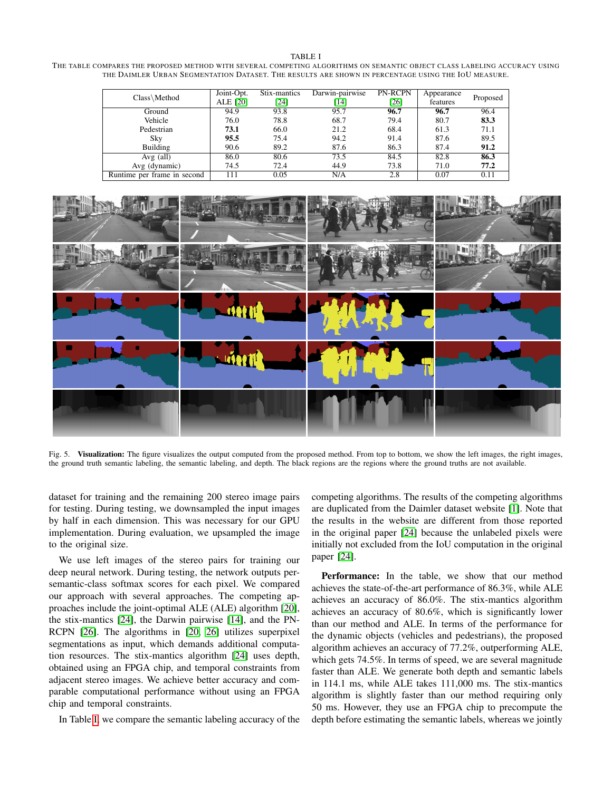<span id="page-6-0"></span>THE TABLE COMPARES THE PROPOSED METHOD WITH SEVERAL COMPETING ALGORITHMS ON SEMANTIC OBJECT CLASS LABELING ACCURACY USING THE DAIMLER URBAN SEGMENTATION DATASET. THE RESULTS ARE SHOWN IN PERCENTAGE USING THE IOU MEASURE.

| Class\Method                | Joint-Opt.<br>ALE [20] | Stix-mantics<br>[24] | Darwin-pairwise<br>[14] | PN-RCPN<br>$[26]$ | Appearance<br>features | Proposed |
|-----------------------------|------------------------|----------------------|-------------------------|-------------------|------------------------|----------|
| Ground                      | 94.9                   | 93.8                 | 95.7                    | 96.7              | 96.7                   | 96.4     |
| Vehicle                     | 76.0                   | 78.8                 | 68.7                    | 79.4              | 80.7                   | 83.3     |
| Pedestrian                  | 73.1                   | 66.0                 | 21.2                    | 68.4              | 61.3                   | 71.1     |
| Sky                         | 95.5                   | 75.4                 | 94.2                    | 91.4              | 87.6                   | 89.5     |
| Building                    | 90.6                   | 89.2                 | 87.6                    | 86.3              | 87.4                   | 91.2     |
| $Avg$ (all)                 | 86.0                   | 80.6                 | 73.5                    | 84.5              | 82.8                   | 86.3     |
| Avg (dynamic)               | 74.5                   | 72.4                 | 44.9                    | 73.8              | 71.0                   | 77.2     |
| Runtime per frame in second | 111                    | 0.05                 | N/A                     | 2.8               | 0.07                   | 0.11     |



Fig. 5. Visualization: The figure visualizes the output computed from the proposed method. From top to bottom, we show the left images, the right images, the ground truth semantic labeling, the semantic labeling, and depth. The black regions are the regions where the ground truths are not available.

<span id="page-6-1"></span>dataset for training and the remaining 200 stereo image pairs for testing. During testing, we downsampled the input images by half in each dimension. This was necessary for our GPU implementation. During evaluation, we upsampled the image to the original size.

We use left images of the stereo pairs for training our deep neural network. During testing, the network outputs persemantic-class softmax scores for each pixel. We compared our approach with several approaches. The competing approaches include the joint-optimal ALE (ALE) algorithm [\[20\]](#page-8-6), the stix-mantics [\[24\]](#page-8-3), the Darwin pairwise [\[14\]](#page-7-15), and the PN-RCPN [\[26\]](#page-8-10). The algorithms in [\[20,](#page-8-6) [26\]](#page-8-10) utilizes superpixel segmentations as input, which demands additional computation resources. The stix-mantics algorithm [\[24\]](#page-8-3) uses depth, obtained using an FPGA chip, and temporal constraints from adjacent stereo images. We achieve better accuracy and comparable computational performance without using an FPGA chip and temporal constraints.

In Table [I,](#page-6-0) we compare the semantic labeling accuracy of the

competing algorithms. The results of the competing algorithms are duplicated from the Daimler dataset website [\[1\]](#page-7-16). Note that the results in the website are different from those reported in the original paper [\[24\]](#page-8-3) because the unlabeled pixels were initially not excluded from the IoU computation in the original paper [\[24\]](#page-8-3).

Performance: In the table, we show that our method achieves the state-of-the-art performance of 86.3%, while ALE achieves an accuracy of 86.0%. The stix-mantics algorithm achieves an accuracy of 80.6%, which is significantly lower than our method and ALE. In terms of the performance for the dynamic objects (vehicles and pedestrians), the proposed algorithm achieves an accuracy of 77.2%, outperforming ALE, which gets 74.5%. In terms of speed, we are several magnitude faster than ALE. We generate both depth and semantic labels in 114.1 ms, while ALE takes 111,000 ms. The stix-mantics algorithm is slightly faster than our method requiring only 50 ms. However, they use an FPGA chip to precompute the depth before estimating the semantic labels, whereas we jointly

#### TABLE I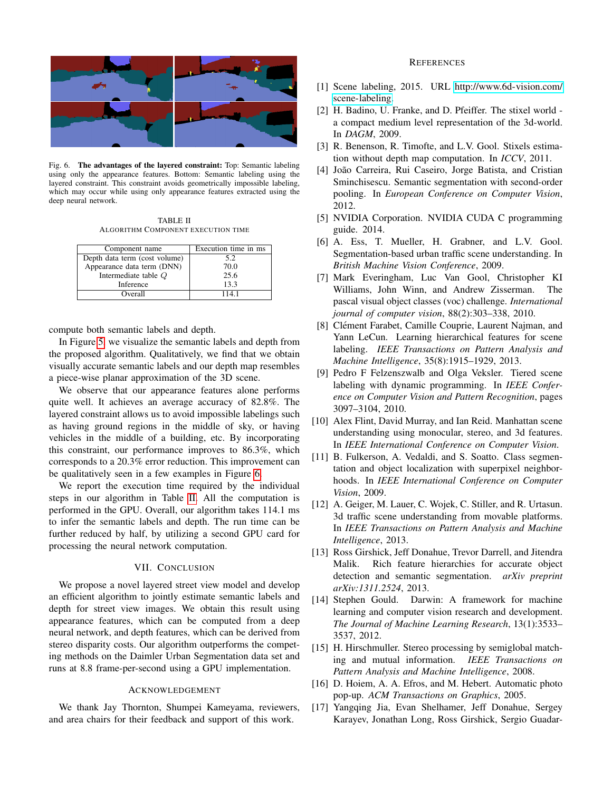

Fig. 6. The advantages of the layered constraint: Top: Semantic labeling using only the appearance features. Bottom: Semantic labeling using the layered constraint. This constraint avoids geometrically impossible labeling, which may occur while using only appearance features extracted using the deep neural network.

<span id="page-7-17"></span>TABLE II ALGORITHM COMPONENT EXECUTION TIME

<span id="page-7-18"></span>

| Component name                | Execution time in ms |  |  |
|-------------------------------|----------------------|--|--|
| Depth data term (cost volume) | 5.2                  |  |  |
| Appearance data term (DNN)    | 70.0                 |  |  |
| Intermediate table $Q$        | 25.6                 |  |  |
| Inference                     | 13.3                 |  |  |
| Overall                       | 1141                 |  |  |

compute both semantic labels and depth.

In Figure [5,](#page-6-1) we visualize the semantic labels and depth from the proposed algorithm. Qualitatively, we find that we obtain visually accurate semantic labels and our depth map resembles a piece-wise planar approximation of the 3D scene.

We observe that our appearance features alone performs quite well. It achieves an average accuracy of 82.8%. The layered constraint allows us to avoid impossible labelings such as having ground regions in the middle of sky, or having vehicles in the middle of a building, etc. By incorporating this constraint, our performance improves to 86.3%, which corresponds to a 20.3% error reduction. This improvement can be qualitatively seen in a few examples in Figure [6.](#page-7-17)

We report the execution time required by the individual steps in our algorithm in Table [II.](#page-7-18) All the computation is performed in the GPU. Overall, our algorithm takes 114.1 ms to infer the semantic labels and depth. The run time can be further reduced by half, by utilizing a second GPU card for processing the neural network computation.

# VII. CONCLUSION

We propose a novel layered street view model and develop an efficient algorithm to jointly estimate semantic labels and depth for street view images. We obtain this result using appearance features, which can be computed from a deep neural network, and depth features, which can be derived from stereo disparity costs. Our algorithm outperforms the competing methods on the Daimler Urban Segmentation data set and runs at 8.8 frame-per-second using a GPU implementation.

# ACKNOWLEDGEMENT

We thank Jay Thornton, Shumpei Kameyama, reviewers, and area chairs for their feedback and support of this work.

## **REFERENCES**

- <span id="page-7-16"></span>[1] Scene labeling, 2015. URL [http://www.6d-vision.com/](http://www.6d-vision.com/scene-labeling) [scene-labeling.](http://www.6d-vision.com/scene-labeling)
- <span id="page-7-8"></span>[2] H. Badino, U. Franke, and D. Pfeiffer. The stixel world a compact medium level representation of the 3d-world. In *DAGM*, 2009.
- <span id="page-7-10"></span>[3] R. Benenson, R. Timofte, and L.V. Gool. Stixels estimation without depth map computation. In *ICCV*, 2011.
- <span id="page-7-0"></span>[4] João Carreira, Rui Caseiro, Jorge Batista, and Cristian Sminchisescu. Semantic segmentation with second-order pooling. In *European Conference on Computer Vision*, 2012.
- <span id="page-7-13"></span>[5] NVIDIA Corporation. NVIDIA CUDA C programming guide. 2014.
- <span id="page-7-2"></span>[6] A. Ess, T. Mueller, H. Grabner, and L.V. Gool. Segmentation-based urban traffic scene understanding. In *British Machine Vision Conference*, 2009.
- <span id="page-7-14"></span>[7] Mark Everingham, Luc Van Gool, Christopher KI Williams, John Winn, and Andrew Zisserman. The pascal visual object classes (voc) challenge. *International journal of computer vision*, 88(2):303–338, 2010.
- <span id="page-7-4"></span>[8] Clément Farabet, Camille Couprie, Laurent Najman, and Yann LeCun. Learning hierarchical features for scene labeling. *IEEE Transactions on Pattern Analysis and Machine Intelligence*, 35(8):1915–1929, 2013.
- <span id="page-7-7"></span>[9] Pedro F Felzenszwalb and Olga Veksler. Tiered scene labeling with dynamic programming. In *IEEE Conference on Computer Vision and Pattern Recognition*, pages 3097–3104, 2010.
- <span id="page-7-11"></span>[10] Alex Flint, David Murray, and Ian Reid. Manhattan scene understanding using monocular, stereo, and 3d features. In *IEEE International Conference on Computer Vision*.
- <span id="page-7-1"></span>[11] B. Fulkerson, A. Vedaldi, and S. Soatto. Class segmentation and object localization with superpixel neighborhoods. In *IEEE International Conference on Computer Vision*, 2009.
- <span id="page-7-3"></span>[12] A. Geiger, M. Lauer, C. Wojek, C. Stiller, and R. Urtasun. 3d traffic scene understanding from movable platforms. In *IEEE Transactions on Pattern Analysis and Machine Intelligence*, 2013.
- <span id="page-7-5"></span>[13] Ross Girshick, Jeff Donahue, Trevor Darrell, and Jitendra Malik. Rich feature hierarchies for accurate object detection and semantic segmentation. *arXiv preprint arXiv:1311.2524*, 2013.
- <span id="page-7-15"></span>[14] Stephen Gould. Darwin: A framework for machine learning and computer vision research and development. *The Journal of Machine Learning Research*, 13(1):3533– 3537, 2012.
- <span id="page-7-9"></span>[15] H. Hirschmuller. Stereo processing by semiglobal matching and mutual information. *IEEE Transactions on Pattern Analysis and Machine Intelligence*, 2008.
- <span id="page-7-6"></span>[16] D. Hoiem, A. A. Efros, and M. Hebert. Automatic photo pop-up. *ACM Transactions on Graphics*, 2005.
- <span id="page-7-12"></span>[17] Yangqing Jia, Evan Shelhamer, Jeff Donahue, Sergey Karayev, Jonathan Long, Ross Girshick, Sergio Guadar-